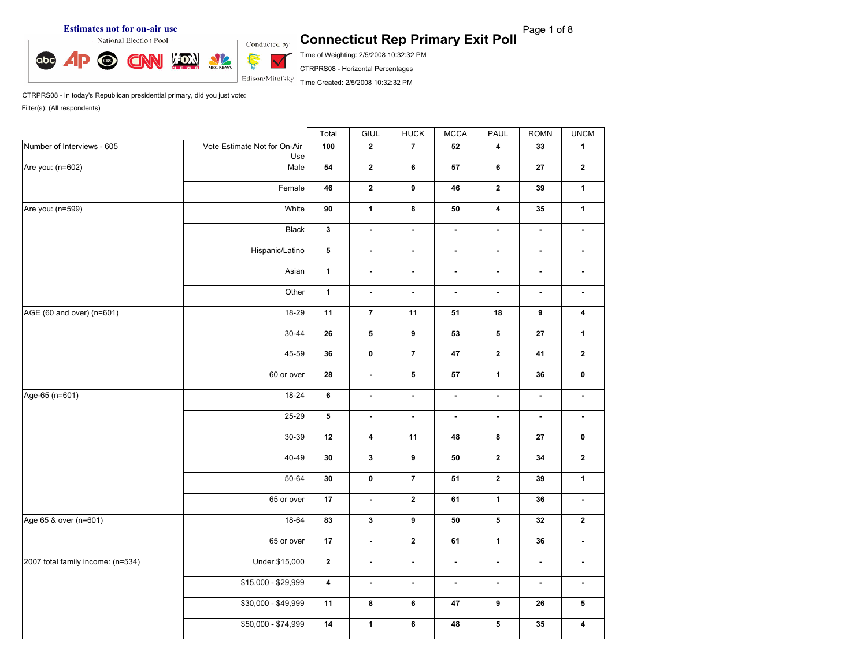

Time of Weighting: 2/5/2008 10:32:32 PM

CTRPRS08 - Horizontal Percentages

Time Created: 2/5/2008 10:32:32 PM

CTRPRS08 - In today's Republican presidential primary, did you just vote: Filter(s): (All respondents)

|                                   |                                     | Total                   | GIUL           | HUCK                                                                                                                                                                                                                                                                                                                                                                                                                                                                                                                                                                                                                                                                                                                                                                              | <b>MCCA</b>    | PAUL                    | <b>ROMN</b>    | <b>UNCM</b>             |
|-----------------------------------|-------------------------------------|-------------------------|----------------|-----------------------------------------------------------------------------------------------------------------------------------------------------------------------------------------------------------------------------------------------------------------------------------------------------------------------------------------------------------------------------------------------------------------------------------------------------------------------------------------------------------------------------------------------------------------------------------------------------------------------------------------------------------------------------------------------------------------------------------------------------------------------------------|----------------|-------------------------|----------------|-------------------------|
| Number of Interviews - 605        | Vote Estimate Not for On-Air<br>Use | 100                     | $\mathbf{2}$   | $\overline{7}$                                                                                                                                                                                                                                                                                                                                                                                                                                                                                                                                                                                                                                                                                                                                                                    | 52             | $\overline{\mathbf{4}}$ | 33             | $\mathbf{1}$            |
| Are you: (n=602)                  | Male                                | 54                      | $\overline{2}$ | 6                                                                                                                                                                                                                                                                                                                                                                                                                                                                                                                                                                                                                                                                                                                                                                                 | ${\bf 57}$     | $6\phantom{1}$          | 27             | $\mathbf{2}$            |
|                                   | Female                              | 46                      | $\overline{2}$ | 9                                                                                                                                                                                                                                                                                                                                                                                                                                                                                                                                                                                                                                                                                                                                                                                 | 46             | $\overline{2}$          | 39             | $\mathbf{1}$            |
| Are you: (n=599)                  | White                               | 90                      | $\mathbf{1}$   | 8<br>50<br>$\overline{\mathbf{4}}$<br>35<br>$\blacksquare$<br>$\blacksquare$<br>$\blacksquare$<br>÷.<br>$\blacksquare$<br>$\blacksquare$<br>$\blacksquare$<br>$\blacksquare$<br>$\blacksquare$<br>$\blacksquare$<br>$\blacksquare$<br>$\blacksquare$<br>$\blacksquare$<br>$\overline{\phantom{a}}$<br>$\blacksquare$<br>$\overline{\phantom{a}}$<br>11<br>51<br>18<br>9<br>5<br>9<br>53<br>27<br>$\overline{7}$<br>$\mathbf{2}$<br>47<br>41<br>${\bf 5}$<br>${\bf 57}$<br>$\mathbf{1}$<br>36<br>$\blacksquare$<br>ä,<br>$\blacksquare$<br>$\overline{\phantom{a}}$<br>$\overline{\phantom{a}}$<br>ä,<br>$\blacksquare$<br>$\blacksquare$<br>$\bf{8}$<br>11<br>48<br>$\bf 27$<br>$\pmb{9}$<br>${\bf 50}$<br>$\mathbf 2$<br>${\bf 34}$<br>$\overline{7}$<br>$\mathbf 2$<br>51<br>39 | $\overline{1}$ |                         |                |                         |
|                                   | Black                               | $\mathbf{3}$            | ä,             |                                                                                                                                                                                                                                                                                                                                                                                                                                                                                                                                                                                                                                                                                                                                                                                   |                |                         |                | $\blacksquare$          |
|                                   | Hispanic/Latino                     | 5 <sup>5</sup>          | $\blacksquare$ |                                                                                                                                                                                                                                                                                                                                                                                                                                                                                                                                                                                                                                                                                                                                                                                   |                |                         |                | $\blacksquare$          |
|                                   | Asian                               | $\mathbf{1}$            | $\blacksquare$ |                                                                                                                                                                                                                                                                                                                                                                                                                                                                                                                                                                                                                                                                                                                                                                                   |                |                         |                | $\blacksquare$          |
|                                   | Other                               | $\mathbf 1$             | $\blacksquare$ |                                                                                                                                                                                                                                                                                                                                                                                                                                                                                                                                                                                                                                                                                                                                                                                   |                |                         |                | $\blacksquare$          |
| AGE (60 and over) (n=601)         | 18-29                               | 11                      | $\overline{7}$ |                                                                                                                                                                                                                                                                                                                                                                                                                                                                                                                                                                                                                                                                                                                                                                                   |                |                         |                | $\overline{\mathbf{4}}$ |
|                                   | $30 - 44$                           | 26                      | 5              |                                                                                                                                                                                                                                                                                                                                                                                                                                                                                                                                                                                                                                                                                                                                                                                   |                |                         |                | $\mathbf{1}$            |
|                                   | 45-59                               | 36                      | $\pmb{0}$      |                                                                                                                                                                                                                                                                                                                                                                                                                                                                                                                                                                                                                                                                                                                                                                                   |                |                         |                | $\mathbf{2}$            |
|                                   | 60 or over                          | 28                      | ä,             |                                                                                                                                                                                                                                                                                                                                                                                                                                                                                                                                                                                                                                                                                                                                                                                   |                |                         |                | $\pmb{0}$               |
| Age-65 (n=601)                    | 18-24                               | 6                       | $\blacksquare$ |                                                                                                                                                                                                                                                                                                                                                                                                                                                                                                                                                                                                                                                                                                                                                                                   |                |                         |                | $\blacksquare$          |
|                                   | 25-29                               | 5                       | ä,             |                                                                                                                                                                                                                                                                                                                                                                                                                                                                                                                                                                                                                                                                                                                                                                                   |                |                         |                | $\blacksquare$          |
|                                   | $30 - 39$                           | 12                      | 4              |                                                                                                                                                                                                                                                                                                                                                                                                                                                                                                                                                                                                                                                                                                                                                                                   |                |                         |                | $\pmb{0}$               |
|                                   | 40-49                               | $\bf{30}$               | $\mathbf 3$    |                                                                                                                                                                                                                                                                                                                                                                                                                                                                                                                                                                                                                                                                                                                                                                                   |                |                         |                | $\mathbf{2}$            |
|                                   | 50-64                               | 30                      | $\pmb{0}$      |                                                                                                                                                                                                                                                                                                                                                                                                                                                                                                                                                                                                                                                                                                                                                                                   |                |                         |                | $\mathbf 1$             |
|                                   | 65 or over                          | 17                      | $\blacksquare$ | $\mathbf{2}$                                                                                                                                                                                                                                                                                                                                                                                                                                                                                                                                                                                                                                                                                                                                                                      | 61             | $\mathbf{1}$            | 36             | $\blacksquare$          |
| Age 65 & over (n=601)             | 18-64                               | 83                      | $\mathbf{3}$   | $\boldsymbol{9}$                                                                                                                                                                                                                                                                                                                                                                                                                                                                                                                                                                                                                                                                                                                                                                  | 50             | $\mathbf 5$             | 32             | $\mathbf{2}$            |
|                                   | 65 or over                          | $17\,$                  | $\blacksquare$ | $\mathbf{2}$                                                                                                                                                                                                                                                                                                                                                                                                                                                                                                                                                                                                                                                                                                                                                                      | 61             | $\mathbf{1}$            | 36             | $\blacksquare$          |
| 2007 total family income: (n=534) | Under \$15,000                      | $\mathbf{2}$            | $\blacksquare$ | $\blacksquare$                                                                                                                                                                                                                                                                                                                                                                                                                                                                                                                                                                                                                                                                                                                                                                    | $\blacksquare$ | $\blacksquare$          | $\blacksquare$ | $\blacksquare$          |
|                                   | \$15,000 - \$29,999                 | $\overline{\mathbf{4}}$ | $\blacksquare$ | $\blacksquare$                                                                                                                                                                                                                                                                                                                                                                                                                                                                                                                                                                                                                                                                                                                                                                    | $\blacksquare$ | $\blacksquare$          | $\blacksquare$ | $\blacksquare$          |
|                                   | \$30,000 - \$49,999                 | 11                      | 8              | 6                                                                                                                                                                                                                                                                                                                                                                                                                                                                                                                                                                                                                                                                                                                                                                                 | $\bf 47$       | $\boldsymbol{9}$        | ${\bf 26}$     | 5                       |
|                                   | \$50,000 - \$74,999                 | 14                      | $\mathbf{1}$   | $\bf 6$                                                                                                                                                                                                                                                                                                                                                                                                                                                                                                                                                                                                                                                                                                                                                                           | 48             | ${\bf 5}$               | $35\,$         | $\overline{\mathbf{4}}$ |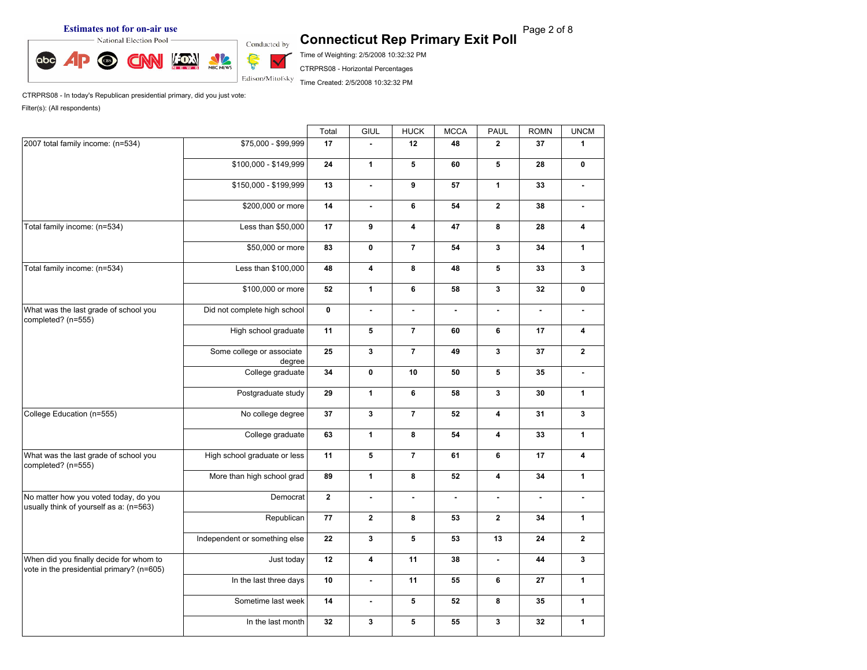**Estimates not for on-air use**<br> **Exit Poll** Connecticut Rep Primary Exit Poll **Page 2 of 8 Connecticut Rep Primary Exit Poll** 



Time of Weighting: 2/5/2008 10:32:32 PM

CTRPRS08 - Horizontal Percentages

Time Created: 2/5/2008 10:32:32 PM

CTRPRS08 - In today's Republican presidential primary, did you just vote: Filter(s): (All respondents)

|                                                                                      |                                     | Total        | GIUL           | <b>HUCK</b>             | <b>MCCA</b>    | <b>PAUL</b>             | <b>ROMN</b>    | <b>UNCM</b>      |
|--------------------------------------------------------------------------------------|-------------------------------------|--------------|----------------|-------------------------|----------------|-------------------------|----------------|------------------|
| 2007 total family income: (n=534)                                                    | \$75,000 - \$99,999                 | 17           | $\sim$         | 12                      | 48             | $\mathbf{2}$            | 37             | $\mathbf{1}$     |
|                                                                                      | \$100,000 - \$149,999               | 24           | $\mathbf{1}$   | 5                       | 60             | 5                       | 28             | 0                |
|                                                                                      | \$150,000 - \$199,999               | 13           | $\blacksquare$ | 9                       | 57             | $\mathbf{1}$            | 33             | $\blacksquare$   |
|                                                                                      | \$200,000 or more                   | 14           | $\mathbf{r}$   | 6                       | 54             | $\overline{2}$          | 38             | $\blacksquare$   |
| Total family income: (n=534)                                                         | Less than \$50,000                  | 17           | 9              | $\overline{\mathbf{4}}$ | 47             | 8                       | 28             | 4                |
|                                                                                      | \$50,000 or more                    | 83           | 0              | $\overline{7}$          | 54             | $\mathbf{3}$            | 34             | $\mathbf{1}$     |
| Total family income: (n=534)                                                         | Less than \$100,000                 | 48           | 4              | 8                       | 48             | 5                       | 33             | $\mathbf{3}$     |
|                                                                                      | \$100,000 or more                   | 52           | $\mathbf{1}$   | 6                       | 58             | $\mathbf{3}$            | 32             | $\mathbf 0$      |
| What was the last grade of school you<br>completed? (n=555)                          | Did not complete high school        | $\mathbf 0$  | $\blacksquare$ | $\blacksquare$          | ä,             | $\blacksquare$          |                | $\blacksquare$   |
|                                                                                      | High school graduate                | 11           | 5              | $\overline{7}$          | 60             | 6                       | 17             | 4                |
|                                                                                      | Some college or associate<br>degree | 25           | $\mathbf{3}$   | $\overline{7}$          | 49             | $\mathbf{3}$            | 37             | $\mathbf{2}$     |
|                                                                                      | College graduate                    | 34           | $\mathbf 0$    | 10                      | 50             | 5                       | 35             | $\blacksquare$   |
|                                                                                      | Postgraduate study                  | 29           | $\mathbf{1}$   | 6                       | 58             | $\mathbf{3}$            | 30             | $\mathbf{1}$     |
| College Education (n=555)                                                            | No college degree                   | 37           | $\mathbf{3}$   | $\overline{7}$          | 52             | $\overline{\mathbf{4}}$ | 31             | $\mathbf{3}$     |
|                                                                                      | College graduate                    | 63           | $\mathbf{1}$   | 8                       | 54             | $\overline{\mathbf{4}}$ | 33             | $\mathbf{1}$     |
| What was the last grade of school you<br>completed? (n=555)                          | High school graduate or less        | 11           | 5              | $\overline{7}$          | 61             | $\bf 6$                 | 17             | 4                |
|                                                                                      | More than high school grad          | 89           | $\mathbf{1}$   | 8                       | ${\bf 52}$     | $\overline{\mathbf{4}}$ | ${\bf 34}$     | $\mathbf{1}$     |
| No matter how you voted today, do you<br>usually think of yourself as a: (n=563)     | Democrat                            | $\mathbf{2}$ | $\blacksquare$ | $\blacksquare$          | $\blacksquare$ | $\blacksquare$          | $\blacksquare$ | $\blacksquare$   |
|                                                                                      | Republican                          | 77           | $\mathbf{2}$   | 8                       | 53             | $\mathbf{2}$            | 34             | $\mathbf{1}$     |
|                                                                                      | Independent or something else       | 22           | $\mathbf{3}$   | 5                       | 53             | 13                      | 24             | $\boldsymbol{2}$ |
| When did you finally decide for whom to<br>vote in the presidential primary? (n=605) | Just today                          | 12           | 4              | 11                      | 38             | $\blacksquare$          | 44             | $\mathbf{3}$     |
|                                                                                      | In the last three days              | 10           | $\blacksquare$ | 11                      | 55             | 6                       | 27             | $\mathbf{1}$     |
|                                                                                      | Sometime last week                  | 14           | $\blacksquare$ | 5                       | 52             | 8                       | 35             | $\mathbf{1}$     |
|                                                                                      | In the last month                   | 32           | $\mathbf{3}$   | 5                       | 55             | $\mathbf{3}$            | 32             | $\mathbf{1}$     |
|                                                                                      |                                     |              |                |                         |                |                         |                |                  |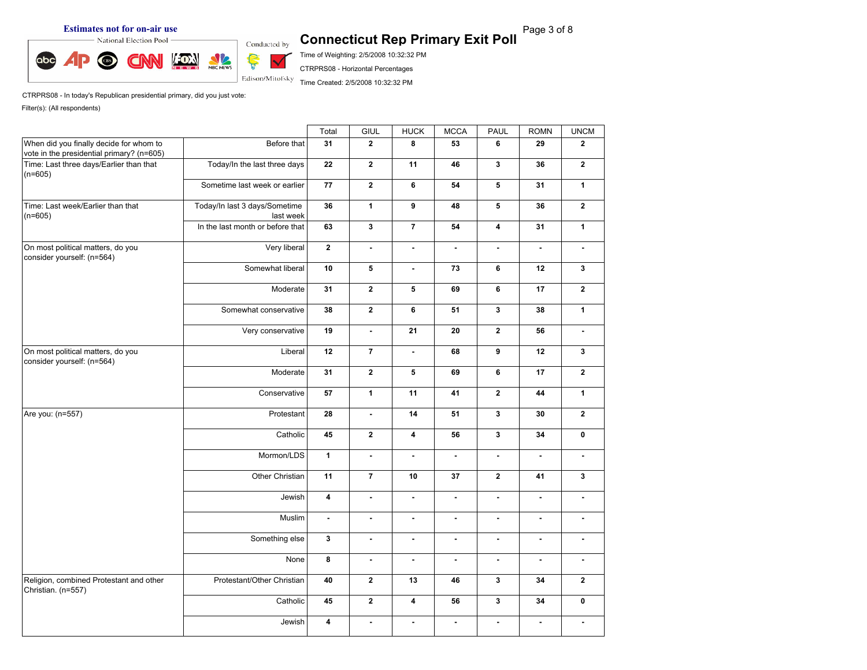**Estimates not for on-air use**<br> **Exit Poll** Connecticut Rep Primary Exit Poll **Page 3 of 8 Connecticut Rep Primary Exit Poll** 



Time of Weighting: 2/5/2008 10:32:32 PM

CTRPRS08 - Horizontal Percentages

Time Created: 2/5/2008 10:32:32 PM

CTRPRS08 - In today's Republican presidential primary, did you just vote: Filter(s): (All respondents)

|                                                                                      |                                            | Total                   | GIUL           | <b>HUCK</b>              | <b>MCCA</b>    | PAUL           | <b>ROMN</b>    | <b>UNCM</b>    |
|--------------------------------------------------------------------------------------|--------------------------------------------|-------------------------|----------------|--------------------------|----------------|----------------|----------------|----------------|
| When did you finally decide for whom to<br>vote in the presidential primary? (n=605) | Before that                                | 31                      | $\overline{2}$ | 8                        | 53             | 6              | 29             | $\overline{2}$ |
| Time: Last three days/Earlier than that<br>$(n=605)$                                 | Today/In the last three days               | 22                      | $\overline{2}$ | 11                       | 46             | $\mathbf{3}$   | 36             | $\mathbf{2}$   |
|                                                                                      | Sometime last week or earlier              | 77                      | $\overline{2}$ | 6                        | 54             | 5              | 31             | $\mathbf{1}$   |
| Time: Last week/Earlier than that<br>$(n=605)$                                       | Today/In last 3 days/Sometime<br>last week | 36                      | $\mathbf{1}$   | 9                        | 48             | 5              | 36             | $\mathbf{2}$   |
|                                                                                      | In the last month or before that           | 63                      | $\mathbf{3}$   | $\overline{7}$           | 54             | 4              | 31             | $\mathbf{1}$   |
| On most political matters, do you<br>consider yourself: (n=564)                      | Very liberal                               | $\mathbf{2}$            | $\blacksquare$ | $\blacksquare$           | $\blacksquare$ | $\blacksquare$ | ä,             | $\blacksquare$ |
|                                                                                      | Somewhat liberal                           | 10                      | 5              | $\overline{\phantom{a}}$ | 73             | 6              | 12             | $\mathbf{3}$   |
|                                                                                      | Moderate                                   | 31                      | $\mathbf{2}$   | 5                        | 69             | 6              | 17             | $\mathbf{2}$   |
|                                                                                      | Somewhat conservative                      | 38                      | $\mathbf{2}$   | 6                        | 51             | $\mathbf{3}$   | 38             | $\mathbf{1}$   |
|                                                                                      | Very conservative                          | 19                      | $\sim$         | 21                       | 20             | $\mathbf{2}$   | 56             | $\blacksquare$ |
| On most political matters, do you<br>consider yourself: (n=564)                      | Liberal                                    | 12                      | $\overline{7}$ | $\blacksquare$           | 68             | $\overline{9}$ | 12             | 3              |
|                                                                                      | Moderate                                   | 31                      | $\mathbf{2}$   | 5                        | 69             | 6              | 17             | $\mathbf{2}$   |
|                                                                                      | Conservative                               | 57                      | $\mathbf{1}$   | 11                       | 41             | $\mathbf{2}$   | 44             | $\mathbf{1}$   |
| Are you: (n=557)                                                                     | Protestant                                 | 28                      | $\blacksquare$ | 14                       | 51             | $\mathbf{3}$   | 30             | $\mathbf{2}$   |
|                                                                                      | Catholic                                   | 45                      | $\mathbf{2}$   | $\overline{\mathbf{4}}$  | 56             | $\mathbf{3}$   | 34             | 0              |
|                                                                                      | Mormon/LDS                                 | $\mathbf{1}$            | $\blacksquare$ | $\blacksquare$           | ä,             | $\blacksquare$ | ä,             | $\blacksquare$ |
|                                                                                      | Other Christian                            | 11                      | $\overline{7}$ | 10                       | 37             | $\mathbf{2}$   | 41             | $\mathbf{3}$   |
|                                                                                      | Jewish                                     | $\overline{\mathbf{4}}$ | $\blacksquare$ | $\blacksquare$           | $\blacksquare$ | $\blacksquare$ | $\blacksquare$ | $\blacksquare$ |
|                                                                                      | Muslim                                     | $\blacksquare$          | $\blacksquare$ | $\blacksquare$           | $\blacksquare$ | $\blacksquare$ | $\blacksquare$ | $\blacksquare$ |
|                                                                                      | Something else                             | $\mathbf{3}$            | $\blacksquare$ | $\blacksquare$           | $\blacksquare$ | $\blacksquare$ | $\blacksquare$ | $\blacksquare$ |
|                                                                                      | None                                       | 8                       | $\blacksquare$ | $\blacksquare$           | $\blacksquare$ | $\blacksquare$ | ä,             | $\blacksquare$ |
| Religion, combined Protestant and other<br>Christian. (n=557)                        | Protestant/Other Christian                 | 40                      | $\overline{2}$ | 13                       | 46             | $\mathbf{3}$   | 34             | $\mathbf{2}$   |
|                                                                                      | Catholic                                   | 45                      | $\mathbf{2}$   | $\overline{\mathbf{4}}$  | 56             | $\mathbf{3}$   | 34             | $\mathbf 0$    |
|                                                                                      | Jewish                                     | 4                       | $\blacksquare$ | $\blacksquare$           | $\blacksquare$ | $\blacksquare$ | $\sim$         | $\blacksquare$ |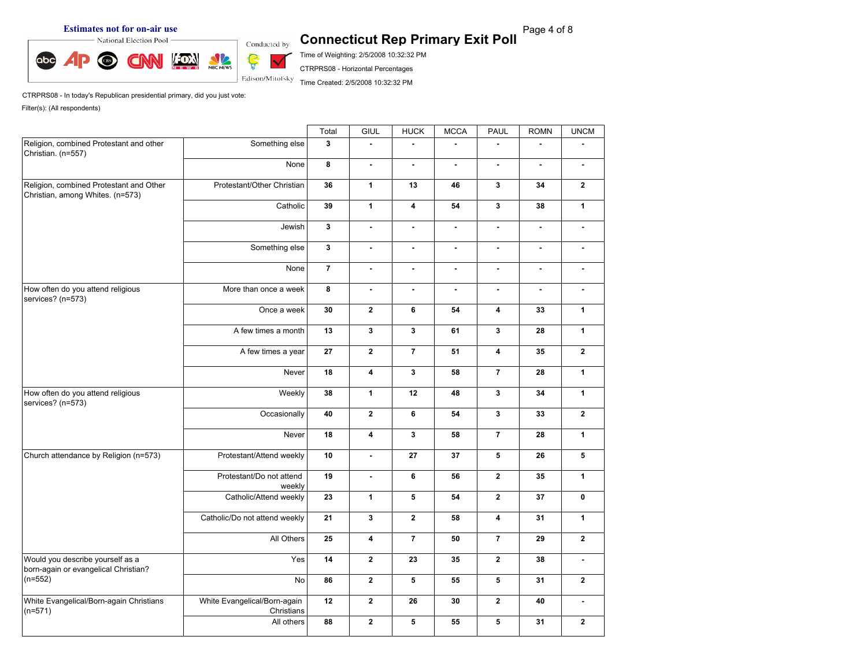**Estimates not for on-air use**<br> **Exit Poll** Connecticut Rep Primary Exit Poll **Page 4 of 8 Connecticut Rep Primary Exit Poll** 



Time of Weighting: 2/5/2008 10:32:32 PM

CTRPRS08 - Horizontal Percentages

Time Created: 2/5/2008 10:32:32 PM

CTRPRS08 - In today's Republican presidential primary, did you just vote:

|                                                                             |                                            | Total          | GIUL                    | <b>HUCK</b>             | <b>MCCA</b>    | PAUL                    | <b>ROMN</b>              | <b>UNCM</b>    |
|-----------------------------------------------------------------------------|--------------------------------------------|----------------|-------------------------|-------------------------|----------------|-------------------------|--------------------------|----------------|
| Religion, combined Protestant and other<br>Christian. (n=557)               | Something else                             | $\mathbf{3}$   | $\tilde{\phantom{a}}$   | L,                      |                |                         |                          |                |
|                                                                             | None                                       | 8              | ä,                      | $\blacksquare$          | $\overline{a}$ | $\mathbf{r}$            |                          | $\blacksquare$ |
| Religion, combined Protestant and Other<br>Christian, among Whites. (n=573) | Protestant/Other Christian                 | 36             | $\mathbf{1}$            | 13                      | 46             | $\mathbf{3}$            | 34                       | $\mathbf{2}$   |
|                                                                             | Catholic                                   | 39             | $\mathbf{1}$            | $\overline{\mathbf{4}}$ | 54             | $\mathbf{3}$            | 38                       | $\mathbf{1}$   |
|                                                                             | Jewish                                     | $\mathbf{3}$   | $\blacksquare$          | $\blacksquare$          | $\blacksquare$ | $\blacksquare$          | $\blacksquare$           | $\blacksquare$ |
|                                                                             | Something else                             | $\mathbf{3}$   | $\mathbf{r}$            | $\tilde{\phantom{a}}$   | $\mathbf{r}$   | $\blacksquare$          | $\overline{\phantom{a}}$ | $\blacksquare$ |
|                                                                             | None                                       | $\overline{7}$ | ä,                      | ä,                      | ÷.             | $\blacksquare$          | $\blacksquare$           | $\blacksquare$ |
| How often do you attend religious<br>services? (n=573)                      | More than once a week                      | 8              | ä,                      | ä,                      | $\overline{a}$ | $\blacksquare$          |                          | $\mathbf{r}$   |
|                                                                             | Once a week                                | 30             | $\overline{2}$          | 6                       | 54             | 4                       | 33                       | $\mathbf{1}$   |
|                                                                             | A few times a month                        | 13             | $\mathbf{3}$            | $\mathbf{3}$            | 61             | $\mathbf{3}$            | 28                       | $\mathbf{1}$   |
|                                                                             | A few times a year                         | 27             | $\overline{2}$          | $\overline{7}$          | 51             | $\overline{\mathbf{4}}$ | 35                       | $\mathbf{2}$   |
|                                                                             | Never                                      | 18             | $\overline{\mathbf{4}}$ | $\mathbf{3}$            | 58             | $\overline{7}$          | 28                       | $\mathbf{1}$   |
| How often do you attend religious<br>services? (n=573)                      | Weekly                                     | 38             | $\mathbf{1}$            | 12                      | 48             | $\mathbf{3}$            | 34                       | $\mathbf{1}$   |
|                                                                             | Occasionally                               | 40             | $\overline{2}$          | 6                       | 54             | $\mathbf{3}$            | 33                       | $\mathbf{2}$   |
|                                                                             | Never                                      | 18             | $\overline{\mathbf{4}}$ | $\mathbf{3}$            | 58             | $\overline{7}$          | 28                       | $\mathbf{1}$   |
| Church attendance by Religion (n=573)                                       | Protestant/Attend weekly                   | 10             | $\sim$                  | 27                      | 37             | 5                       | 26                       | 5              |
|                                                                             | Protestant/Do not attend<br>weekly         | 19             | $\blacksquare$          | 6                       | 56             | $\mathbf{2}$            | 35                       | $\mathbf{1}$   |
|                                                                             | Catholic/Attend weekly                     | 23             | $\mathbf{1}$            | 5                       | 54             | $\overline{2}$          | 37                       | $\mathbf 0$    |
|                                                                             | Catholic/Do not attend weekly              | 21             | $\mathbf{3}$            | $\mathbf{2}$            | 58             | $\overline{4}$          | 31                       | $\mathbf{1}$   |
|                                                                             | All Others                                 | 25             | $\overline{\mathbf{4}}$ | $\overline{7}$          | 50             | $\overline{7}$          | 29                       | $\mathbf{2}$   |
| Would you describe yourself as a<br>born-again or evangelical Christian?    | Yes                                        | 14             | $\overline{2}$          | 23                      | 35             | $\overline{2}$          | 38                       | $\blacksquare$ |
| $(n=552)$                                                                   | No                                         | 86             | $\overline{2}$          | 5                       | 55             | 5                       | 31                       | $\mathbf{2}$   |
| White Evangelical/Born-again Christians<br>$(n=571)$                        | White Evangelical/Born-again<br>Christians | 12             | $\overline{2}$          | 26                      | 30             | $\mathbf{2}$            | 40                       | $\blacksquare$ |
|                                                                             | All others                                 | 88             | $\overline{2}$          | $5\phantom{.0}$         | 55             | 5                       | 31                       | $\mathbf{2}$   |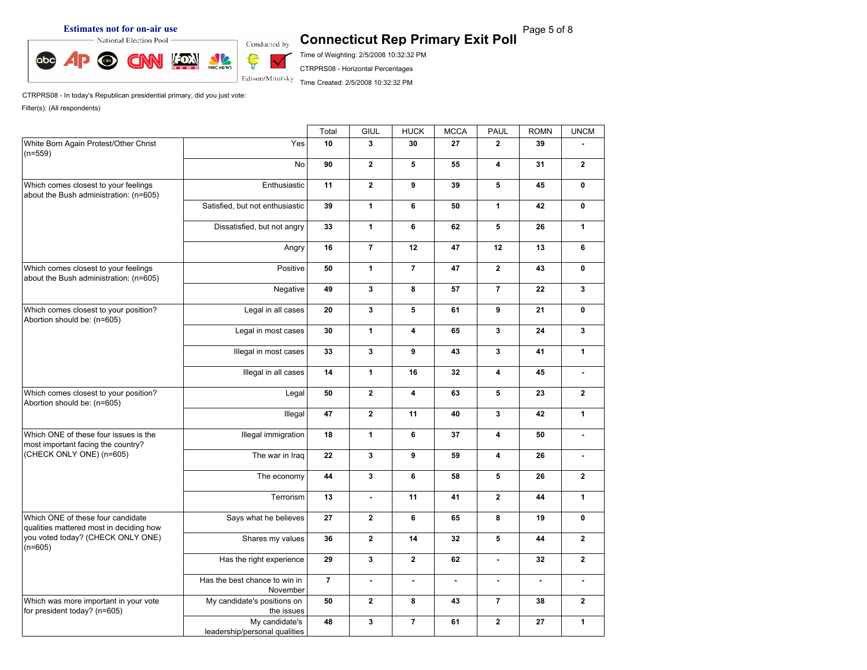

Time of Weighting: 2/5/2008 10:32:32 PM

CTRPRS08 - Horizontal Percentages

Time Created: 2/5/2008 10:32:32 PM

CTRPRS08 - In today's Republican presidential primary, did you just vote:

|                                                                                |                                                 | Total          | GIUL                    | <b>HUCK</b>             | <b>MCCA</b>  | <b>PAUL</b>             | <b>ROMN</b>    | <b>UNCM</b>           |
|--------------------------------------------------------------------------------|-------------------------------------------------|----------------|-------------------------|-------------------------|--------------|-------------------------|----------------|-----------------------|
| White Born Again Protest/Other Christ<br>$(n=559)$                             | Yes                                             | 10             | $\overline{\mathbf{3}}$ | 30                      | 27           | $\overline{2}$          | 39             |                       |
|                                                                                | <b>No</b>                                       | 90             | $\overline{2}$          | 5                       | 55           | 4                       | 31             | $\mathbf{2}$          |
| Which comes closest to your feelings<br>about the Bush administration: (n=605) | Enthusiastic                                    | 11             | $\mathbf{2}$            | 9                       | 39           | 5                       | 45             | $\mathbf 0$           |
|                                                                                | Satisfied, but not enthusiastic                 | 39             | $\mathbf{1}$            | 6                       | 50           | $\mathbf{1}$            | 42             | $\mathbf 0$           |
|                                                                                | Dissatisfied, but not angry                     | 33             | $\mathbf{1}$            | 6                       | 62           | 5                       | 26             | $\mathbf{1}$          |
|                                                                                | Angry                                           | 16             | $\overline{7}$          | 12                      | 47           | 12                      | 13             | 6                     |
| Which comes closest to your feelings<br>about the Bush administration: (n=605) | Positive                                        | 50             | 1                       | $\overline{7}$          | 47           | $\overline{2}$          | 43             | $\mathbf 0$           |
|                                                                                | Negative                                        | 49             | $\mathbf{3}$            | 8                       | 57           | $\overline{7}$          | 22             | $\mathbf{3}$          |
| Which comes closest to your position?<br>Abortion should be: (n=605)           | Legal in all cases                              | 20             | $\mathbf{3}$            | 5                       | 61           | 9                       | 21             | $\mathbf 0$           |
|                                                                                | Legal in most cases                             | 30             | $\mathbf{1}$            | 4                       | 65           | 3                       | 24             | $\mathbf{3}$          |
|                                                                                | Illegal in most cases                           | 33             | $\mathbf{3}$            | 9                       | 43           | 3                       | 41             | $\mathbf{1}$          |
|                                                                                | Illegal in all cases                            | 14             | $\mathbf{1}$            | 16                      | 32           | $\overline{\mathbf{4}}$ | 45             | $\tilde{\phantom{a}}$ |
| Which comes closest to your position?<br>Abortion should be: (n=605)           | Legal                                           | 50             | $\overline{2}$          | $\overline{\mathbf{4}}$ | 63           | 5                       | 23             | $\mathbf{2}$          |
|                                                                                | Illegal                                         | 47             | $\mathbf{2}$            | 11                      | 40           | $\mathbf{3}$            | 42             | $\mathbf{1}$          |
| Which ONE of these four issues is the<br>most important facing the country?    | Illegal immigration                             | 18             | $\mathbf{1}$            | 6                       | 37           | 4                       | 50             | $\mathbf{r}$          |
| (CHECK ONLY ONE) (n=605)                                                       | The war in Iraq                                 | 22             | $\mathbf{3}$            | 9                       | 59           | $\overline{\mathbf{4}}$ | 26             | $\blacksquare$        |
|                                                                                | The economy                                     | 44             | $\mathbf{3}$            | 6                       | 58           | 5                       | 26             | $\overline{2}$        |
|                                                                                | Terrorism                                       | 13             | $\blacksquare$          | 11                      | 41           | $\mathbf{2}$            | 44             | $\mathbf{1}$          |
| Which ONE of these four candidate<br>qualities mattered most in deciding how   | Says what he believes                           | 27             | $\mathbf{2}$            | 6                       | 65           | 8                       | 19             | $\mathbf 0$           |
| you voted today? (CHECK ONLY ONE)<br>$(n=605)$                                 | Shares my values                                | 36             | $\mathbf{2}$            | 14                      | 32           | 5                       | 44             | $\mathbf{2}$          |
|                                                                                | Has the right experience                        | 29             | $\mathbf{3}$            | $\overline{2}$          | 62           | $\overline{a}$          | 32             | $\overline{2}$        |
|                                                                                | Has the best chance to win in<br>November       | $\overline{7}$ | $\mathbf{r}$            | $\blacksquare$          | $\mathbf{r}$ | $\blacksquare$          | $\blacksquare$ | $\mathbf{r}$          |
| Which was more important in your vote<br>for president today? (n=605)          | My candidate's positions on<br>the issues       | 50             | $\mathbf{2}$            | 8                       | 43           | $\overline{7}$          | 38             | $\mathbf{2}$          |
|                                                                                | My candidate's<br>leadership/personal qualities | 48             | $\mathbf{3}$            | $\overline{7}$          | 61           | $\overline{2}$          | 27             | $\mathbf{1}$          |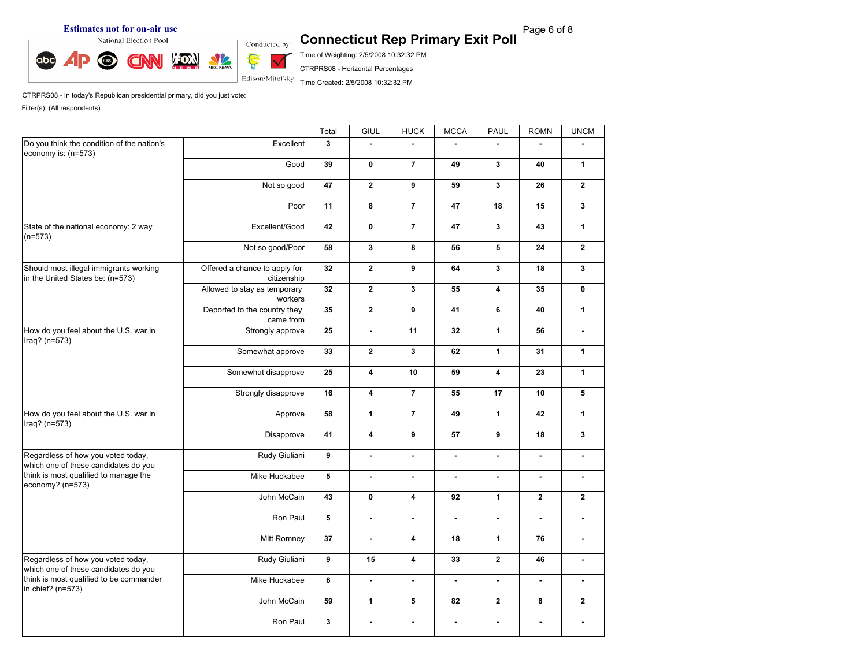**Estimates not for on-air use**<br> **Exit Poll** Connecticut Rep Primary Exit Poll Page 6 of 8



Time of Weighting: 2/5/2008 10:32:32 PM

CTRPRS08 - Horizontal Percentages

Time Created: 2/5/2008 10:32:32 PM

CTRPRS08 - In today's Republican presidential primary, did you just vote:

|                                                                            |                                              | Total        | GIUL                    | <b>HUCK</b>             | <b>MCCA</b>    | PAUL                    | <b>ROMN</b>    | <b>UNCM</b>    |
|----------------------------------------------------------------------------|----------------------------------------------|--------------|-------------------------|-------------------------|----------------|-------------------------|----------------|----------------|
| Do you think the condition of the nation's<br>economy is: (n=573)          | Excellent                                    | $\mathbf{3}$ |                         |                         |                |                         |                |                |
|                                                                            | Good                                         | 39           | $\mathbf 0$             | $\overline{7}$          | 49             | $\mathbf{3}$            | 40             | $\mathbf{1}$   |
|                                                                            | Not so good                                  | 47           | $\overline{2}$          | $\boldsymbol{9}$        | 59             | $\mathbf{3}$            | 26             | $\mathbf{2}$   |
|                                                                            | Poor                                         | 11           | 8                       | $\overline{7}$          | 47             | 18                      | 15             | $\mathbf{3}$   |
| State of the national economy: 2 way<br>$(n=573)$                          | Excellent/Good                               | 42           | $\mathbf 0$             | $\overline{7}$          | 47             | $\mathbf{3}$            | 43             | $\mathbf{1}$   |
|                                                                            | Not so good/Poor                             | 58           | $\mathbf{3}$            | 8                       | 56             | 5                       | 24             | $\mathbf{2}$   |
| Should most illegal immigrants working<br>in the United States be: (n=573) | Offered a chance to apply for<br>citizenship | 32           | $\overline{2}$          | 9                       | 64             | $\mathbf{3}$            | 18             | $\mathbf{3}$   |
|                                                                            | Allowed to stay as temporary<br>workers      | 32           | $\mathbf{2}$            | $\mathbf{3}$            | 55             | $\overline{\mathbf{4}}$ | 35             | $\mathbf 0$    |
|                                                                            | Deported to the country they<br>came from    | 35           | $\mathbf{2}$            | $\boldsymbol{9}$        | 41             | 6                       | 40             | $\mathbf{1}$   |
| How do you feel about the U.S. war in<br>Iraq? $(n=573)$                   | Strongly approve                             | 25           | ä,                      | 11                      | 32             | $\mathbf{1}$            | 56             | $\blacksquare$ |
|                                                                            | Somewhat approve                             | 33           | $\overline{2}$          | $\mathbf{3}$            | 62             | $\mathbf{1}$            | 31             | $\mathbf{1}$   |
|                                                                            | Somewhat disapprove                          | 25           | 4                       | 10                      | 59             | 4                       | 23             | $\mathbf{1}$   |
|                                                                            | Strongly disapprove                          | 16           | $\overline{\mathbf{4}}$ | $\overline{7}$          | 55             | 17                      | 10             | 5              |
| How do you feel about the U.S. war in<br>$Iraq?$ (n=573)                   | Approve                                      | 58           | $\mathbf{1}$            | $\overline{7}$          | 49             | $\mathbf{1}$            | 42             | $\mathbf{1}$   |
|                                                                            | Disapprove                                   | 41           | $\overline{\mathbf{4}}$ | $\mathbf{9}$            | 57             | 9                       | 18             | $\mathbf{3}$   |
| Regardless of how you voted today,<br>which one of these candidates do you | Rudy Giuliani                                | 9            | $\blacksquare$          | $\blacksquare$          | $\mathbf{r}$   | $\blacksquare$          | $\blacksquare$ | $\blacksquare$ |
| think is most qualified to manage the<br>economy? $(n=573)$                | Mike Huckabee                                | 5            | $\blacksquare$          | $\blacksquare$          | $\blacksquare$ | $\mathbf{r}$            | ٠              | $\blacksquare$ |
|                                                                            | John McCain                                  | 43           | 0                       | $\overline{\mathbf{4}}$ | 92             | $\mathbf{1}$            | $\mathbf{2}$   | $\mathbf{2}$   |
|                                                                            | Ron Paul                                     | 5            | $\blacksquare$          | $\blacksquare$          | $\overline{a}$ | $\mathbf{r}$            | $\mathbf{r}$   | $\blacksquare$ |
|                                                                            | Mitt Romney                                  | 37           | $\mathbf{r}$            | $\overline{\mathbf{4}}$ | 18             | $\mathbf{1}$            | 76             | $\blacksquare$ |
| Regardless of how you voted today,<br>which one of these candidates do you | Rudy Giuliani                                | 9            | 15                      | $\overline{\mathbf{4}}$ | 33             | $\overline{2}$          | 46             | $\blacksquare$ |
| think is most qualified to be commander<br>in chief? (n=573)               | Mike Huckabee                                | 6            | $\mathbf{r}$            | $\blacksquare$          | ÷.             | $\mathbf{r}$            | $\sim$         | $\mathbf{r}$   |
|                                                                            | John McCain                                  | 59           | $\mathbf{1}$            | 5                       | 82             | $\overline{2}$          | 8              | $\mathbf{2}$   |
|                                                                            | Ron Paul                                     | $\mathbf{3}$ | $\blacksquare$          | $\blacksquare$          | $\blacksquare$ | $\blacksquare$          | $\blacksquare$ | $\blacksquare$ |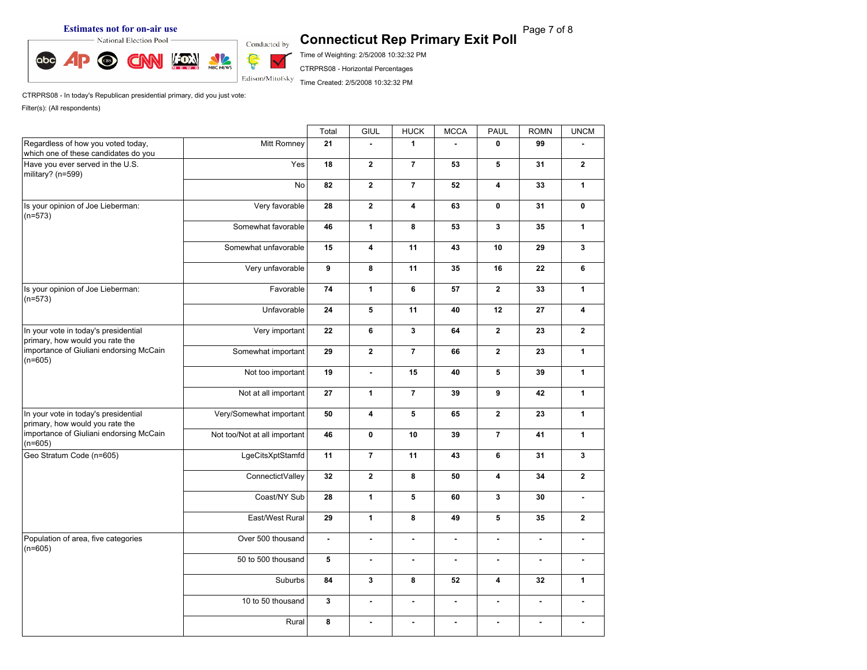**Estimates not for on-air use**<br> **Exting Page 7 of 8** Connecticut Rep Primary Exit Poll<br>
Conducted by Connecticut Rep Primary Exit Poll



Time of Weighting: 2/5/2008 10:32:32 PM

CTRPRS08 - Horizontal Percentages

Time Created: 2/5/2008 10:32:32 PM

CTRPRS08 - In today's Republican presidential primary, did you just vote: Filter(s): (All respondents)

Total GIUL | HUCK | MCCA | PAUL | ROMN | UNCM | Regardless of how you voted today, which one of these candidates do you Have you ever served in the U.S. military? (n=599) Mitt Romney **21 - 1 - 0 99 -** Yes **18 2 7 53 5 31 2** No **82 2 7 52 4 33 1** Is your opinion of Joe Lieberman: (n=573) Very favorable **28 2 4 63 0 31 0** Somewhat favorable **46 1 8 53 3 35 1** Somewhat unfavorable **15 4 11 43 10 29 3** Very unfavorable **9 8 11 35 16 22 6** Is your opinion of Joe Lieberman: (n=573) Favorable **74 1 6 57 2 33 1** Unfavorable **24 5 11 40 12 27 4** In your vote in today's presidential primary, how would you rate the importance of Giuliani endorsing McCain  $(n=605)$ Very important **22 6 3 64 2 23 2** Somewhat important **29 2 7 66 2 23 1** Not too important **19 - 15 40 5 39 1** Not at all important **27 1 7 39 9 42 1** In your vote in today's presidential primary, how would you rate the importance of Giuliani endorsing McCain (n=605) Very/Somewhat important **50 4 5 65 2 23 1** Not too/Not at all important **46 0 10 39 7 41 1** Geo Stratum Code (n=605) LgeCitsXptStamfd **11 7 11 43 6 31 3** ConnectictValley **32 2 8 50 4 34 2** Coast/NY Sub **28 1 5 60 3 30 -** East/West Rural **29 1 8 49 5 35 2** Population of area, five categories (n=605) Over 500 thousand **- - - - - - -** 50 to 500 thousand **5 - - - - - -** Suburbs **84 3 8 52 4 32 1** 10 to 50 thousand **3 - - - - - -** Rural **8 - - - - - -**